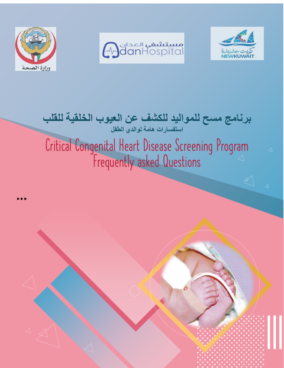





# **برنامج مسح للمواليد للكشف عن العيوب الخلقية للقلب استفسارات هامة لوالدي الطفل**  Critical Congenital Heart Disease Screening Program Frequently asked Questions

 $\Delta$ 

 $\mathbb{R}$ 

 $\Delta$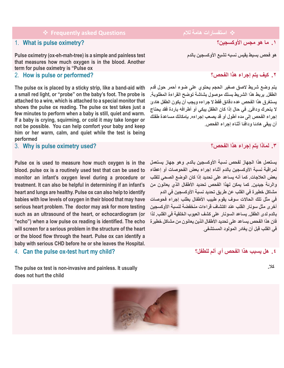❖ **استفسارات هامة لالم Questions asked Frequently**❖

# 1. **What is pulse oximetry?**

**Pulse oximetry (ox-eh-mah-tree) is a simple and painless test that measures how much oxygen is in the blood. Another term for pulse oximetry is "Pulse ox**

#### 2. **How is pulse or performed?**

**The pulse ox is placed by a sticky strip, like a band-aid with a small red light, or "probe" on the baby's foot. The probe is attached to a wire, which is attached to a special monitor that shows the pulse ox reading. The pulse ox test takes just a few minutes to perform when a baby is still, quiet and warm. If a baby is crying, squirming, or cold it may take longer or not be possible. You can help comfort your baby and keep him or her warm, calm, and quiet while the test is being performed**

## 3. **Why is pulse oximetry used?**

**Pulse ox is used to measure how much oxygen is in the blood. pulse ox is a routinely used test that can be used to monitor an infant's oxygen level during a procedure or treatment. It can also be helpful in determining if an infant's heart and lungs are healthy. Pulse ox can also help to identify babies with low levels of oxygen in their blood that may have serious heart problem. The doctor may ask for more testing such as an ultrasound of the heart, or echocardiogram (or "echo") when a low pulse ox reading is identified. The echo will screen for a serious problem in the structure of the heart or the blood flow through the heart. Pulse ox can identify a baby with serious CHD before he or she leaves the Hospital.**

4. **Can the pulse ox-test hurt my child?**

**The pulse ox test is non-invasive and painless. It usually does not hurt the child**



# **.1 ما هو مجس األوكسجين ؟**

**هو فحص بسيط يقيس نسبه تشبع األوكسجين بالدم** 

# **.2 كيف يتم إجراء هذا الفحص؟**

**يتم وضع شريط الصق صغير الحجم يحتوي على ضوء أحمر حول قدم الطفل. يربط هذا الشريط بسلك موصول بشاشة توضح القراءة المطلوبة. يستغرق هذا الفحص عده دقائق فقط ال جراءه ويجب أن يكون الطفل هادئ ال يتحرك ودافئ. في حال إذا كان الطفل يبكي أو أطرافه باردة فقد يحتاج إجراء الفحص إلى مده أطول أو قد يصعب إجراءه. بإمكانك مساعدة طفلك أن يبقى هادئا ودافئا أثناء إجراء الفحص**.

## **.3 لماذا يتم إجراء هذا الفحص ؟**

**يستعمل هذا الجهاز لفحص نسبة األوكسجين بالدم. وهو جهاز يستعمل لمراقبة نسبة األوكسجين بالدم أثناء إجراء بعض الفحوصات أو إعطاء بعض العالجات. كما أنه يساعد على تحديد إذا كان الوضع الصحي للقلب والرئة جيدين. كما يمكن لهذا الفحص تحديد األطفال الذي يعانون من مشاكل خطيرة في القلب عن طريق تحديد نسبة األوكسجين في الدم في مثل تلك الحاالت سوف يقوم طبيب األطفال بطلب إجراء فحوصات أخرى مثل سونا ر القلب عند اكتشاف قراءات منخفضة لنسبة األوكسجين بالدم لدى الطفل. يساعد السونار على كشف العيوب الخلقية في القلب. لذا فان هذا الفحص يساعد على تحديد األطفال الذين يعانون من مشاكل خطيرة في القلب قبل أن يغادر المولود المستشفى**.

**.4 هل يسبب هذا الفحص أي ألم للطفل؟** 

 **كال.**